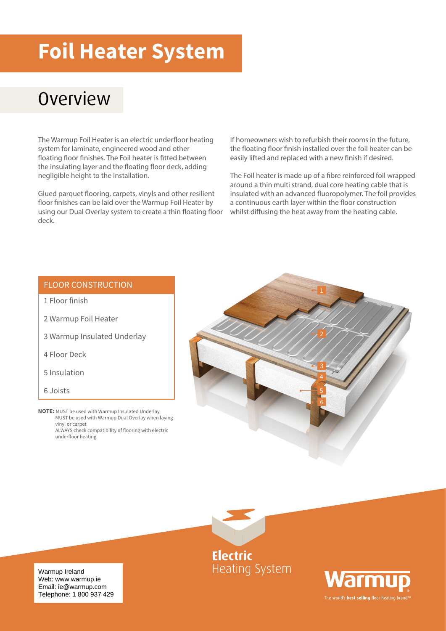## **Foil Heater System**

## **Overview**

The Warmup Foil Heater is an electric underfloor heating system for laminate, engineered wood and other floating floor finishes. The Foil heater is fitted between the insulating layer and the floating floor deck, adding negligible height to the installation.

Glued parquet flooring, carpets, vinyls and other resilient floor finishes can be laid over the Warmup Foil Heater by using our Dual Overlay system to create a thin floating floor deck.

If homeowners wish to refurbish their rooms in the future, the floating floor finish installed over the foil heater can be easily lifted and replaced with a new finish if desired.

The Foil heater is made up of a fibre reinforced foil wrapped around a thin multi strand, dual core heating cable that is insulated with an advanced fluoropolymer. The foil provides a continuous earth layer within the floor construction whilst diffusing the heat away from the heating cable.

#### FLOOR CONSTRUCTION

- 1 Floor finish
- 2 Warmup Foil Heater
- 3 Warmup Insulated Underlay
- 4 Floor Deck
- 5 Insulation
- 6 Joists
- **NOTE:** MUST be used with Warmup Insulated Underlay MUST be used with Warmup Dual Overlay when laying vinyl or carpet ALWAYS check compatibility of flooring with electric underfloor heating





Warmu The world's **best-selling** floor heating brand<sup>1</sup>

Warmup Ireland<br>Web: www.warmup.io Email: ie@warmup.com Telephone: 1 800 937 429 Web: www.warmup.ie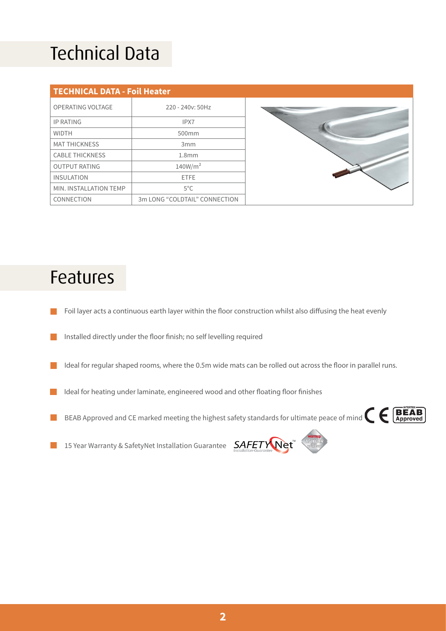## Technical Data

| <b>TECHNICAL DATA - Foil Heater</b> |                               |  |  |  |
|-------------------------------------|-------------------------------|--|--|--|
| OPERATING VOLTAGE                   | 220 - 240y: 50Hz              |  |  |  |
| <b>IP RATING</b>                    | IPX7                          |  |  |  |
| <b>WIDTH</b>                        | 500mm                         |  |  |  |
| <b>MAT THICKNESS</b>                | 3 <sub>mm</sub>               |  |  |  |
| <b>CABLE THICKNESS</b>              | 1.8 <sub>mm</sub>             |  |  |  |
| <b>OUTPUT RATING</b>                | 140W/m <sup>2</sup>           |  |  |  |
| <b>INSULATION</b>                   | <b>ETFE</b>                   |  |  |  |
| MIN. INSTALLATION TEMP              | $5^{\circ}$ C                 |  |  |  |
| CONNECTION                          | 3m LONG "COLDTAIL" CONNECTION |  |  |  |



#### Features

- Foil layer acts a continuous earth layer within the floor construction whilst also diffusing the heat evenly
- Installed directly under the floor finish; no self levelling required
- Ideal for regular shaped rooms, where the 0.5m wide mats can be rolled out across the floor in parallel runs. in 1
- Ideal for heating under laminate, engineered wood and other floating floor finishes n.
- BEAB Approved and CE marked meeting the highest safety standards for ultimate peace of mind  $\epsilon \in \mathbb{B}$  $\mathcal{L}_{\mathcal{A}}$



15 Year Warranty & SafetyNet Installation Guarantee **SAFETY Net**  $\mathbb{R}^n$ 

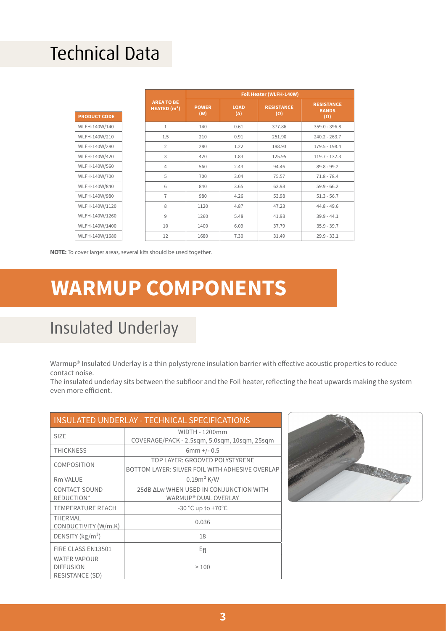## Technical Data

|                     |                                    |                     | Foil Heater (WLFH-140W) |                                 |                                   |                 |
|---------------------|------------------------------------|---------------------|-------------------------|---------------------------------|-----------------------------------|-----------------|
|                     | <b>AREA TO BE</b><br>HEATED $(m2)$ | <b>POWER</b><br>(W) | <b>LOAD</b><br>(A)      | <b>RESISTANCE</b><br>$(\Omega)$ | <b>RESISTANCE</b><br><b>BANDS</b> |                 |
| <b>PRODUCT CODE</b> |                                    |                     |                         |                                 |                                   | $(\Omega)$      |
| WLFH-140W/140       |                                    | 1                   | 140                     | 0.61                            | 377.86                            | $359.0 - 396.8$ |
| WLFH-140W/210       |                                    | 1.5                 | 210                     | 0.91                            | 251.90                            | $240.2 - 263.7$ |
| WLFH-140W/280       |                                    | $\overline{2}$      | 280                     | 1.22                            | 188.93                            | 179.5 - 198.4   |
| WLFH-140W/420       |                                    | 3                   | 420                     | 1.83                            | 125.95                            | $119.7 - 132.3$ |
| WLFH-140W/560       |                                    | $\overline{4}$      | 560                     | 2.43                            | 94.46                             | $89.8 - 99.2$   |
| WLFH-140W/700       |                                    | 5                   | 700                     | 3.04                            | 75.57                             | $71.8 - 78.4$   |
| WLFH-140W/840       |                                    | 6                   | 840                     | 3.65                            | 62.98                             | $59.9 - 66.2$   |
| WLFH-140W/980       |                                    | $\overline{7}$      | 980                     | 4.26                            | 53.98                             | $51.3 - 56.7$   |
| WLFH-140W/1120      |                                    | 8                   | 1120                    | 4.87                            | 47.23                             | $44.8 - 49.6$   |
| WLFH-140W/1260      |                                    | 9                   | 1260                    | 5.48                            | 41.98                             | $39.9 - 44.1$   |
| WLFH-140W/1400      |                                    | 10                  | 1400                    | 6.09                            | 37.79                             | $35.9 - 39.7$   |
| WLFH-140W/1680      |                                    | 12                  | 1680                    | 7.30                            | 31.49                             | $29.9 - 33.1$   |

**NOTE:** To cover larger areas, several kits should be used together.

## **WARMUP COMPONENTS**

#### Insulated Underlay

Warmup® Insulated Underlay is a thin polystyrene insulation barrier with effective acoustic properties to reduce contact noise.

The insulated underlay sits between the subfloor and the Foil heater, reflecting the heat upwards making the system even more efficient.

| <b>INSULATED UNDERLAY - TECHNICAL SPECIFICATIONS</b>              |                                                                                   |  |  |  |
|-------------------------------------------------------------------|-----------------------------------------------------------------------------------|--|--|--|
| <b>SIZE</b>                                                       | WIDTH - 1200mm<br>COVERAGE/PACK - 2.5sqm, 5.0sqm, 10sqm, 25sqm                    |  |  |  |
| <b>THICKNESS</b>                                                  | $6mm$ +/- 0.5                                                                     |  |  |  |
| <b>COMPOSITION</b>                                                | TOP LAYER: GROOVED POLYSTYRENE<br>BOTTOM LAYER: SILVER FOIL WITH ADHESIVE OVERLAP |  |  |  |
| Rm VAI UF                                                         | $0.19m2$ K/W                                                                      |  |  |  |
| <b>CONTACT SOUND</b><br>REDUCTION*                                | 25dB ALW WHEN USED IN CONJUNCTION WITH<br>WARMUP® DUAL OVERLAY                    |  |  |  |
| <b>TEMPERATURE REACH</b>                                          | $-30$ °C up to $+70$ °C                                                           |  |  |  |
| <b>THERMAL</b><br>CONDUCTIVITY (W/m.K)                            | 0.036                                                                             |  |  |  |
| DENSITY ( $\text{kg/m}^3$ )                                       | 18                                                                                |  |  |  |
| FIRE CLASS EN13501                                                | $E_{fl}$                                                                          |  |  |  |
| <b>WATER VAPOUR</b><br><b>DIFFUSION</b><br><b>RESISTANCE (SD)</b> | >100                                                                              |  |  |  |